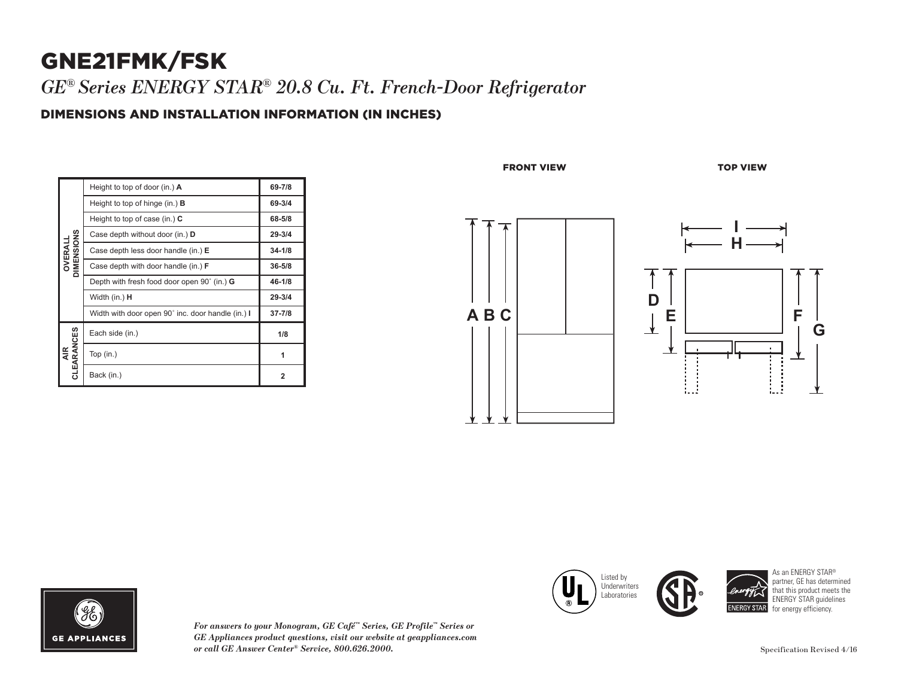## GNE21FMK/FSK *GE® Series ENERGY STAR® 20.8 Cu. Ft. French-Door Refrigerator*

### DIMENSIONS AND INSTALLATION INFORMATION (IN INCHES)

| DIMENSIONS<br>OVERALI | Height to top of door (in.) A                     | 69-7/8     |
|-----------------------|---------------------------------------------------|------------|
|                       | Height to top of hinge (in.) $\bf{B}$             | 69-3/4     |
|                       | Height to top of case (in.) $C$                   | 68-5/8     |
|                       | Case depth without door (in.) D                   | $29 - 3/4$ |
|                       | Case depth less door handle (in.) E               | $34 - 1/8$ |
|                       | Case depth with door handle (in.) <b>F</b>        | $36 - 5/8$ |
|                       | Depth with fresh food door open 90° (in.) G       | 46-1/8     |
|                       | Width (in.) <b>H</b>                              | $29 - 3/4$ |
|                       | Width with door open 90° inc. door handle (in.) I | $37 - 7/8$ |
| CLEARANCES<br>₹.      | Each side (in.)                                   | 1/8        |
|                       | Top $(in.)$                                       | 1          |
|                       | Back (in.)                                        | 2          |

FRONT VIEW TOP VIEW

Listed by

 $\Box$  Laboratories

Width (in.) **H**

**CLEAR** 

**I** inderwriters **IQ** 







*For answers to your Monogram, GE Café™ Series, GE Profile™ Series or GE Appliances product questions, visit our website at geappliances.com or call GE Answer Center® Service, 800.626.2000.* Specification Revised 4/16

As an ENERGY STAR® partner, GE has determined that this product meets the ENERGY STAR guidelines for energy efficiency.

**37-7/8**

**NERGY STAR**